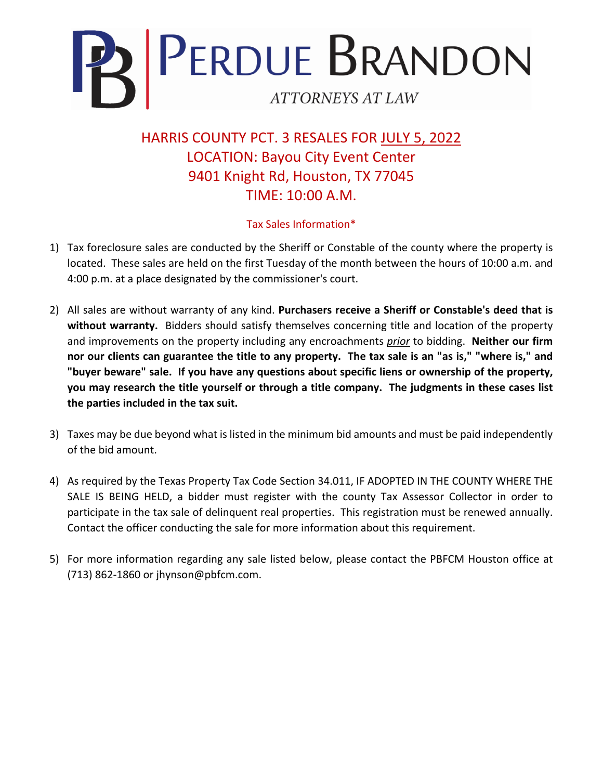

HARRIS COUNTY PCT. 3 RESALES FOR JULY 5, 2022 LOCATION: Bayou City Event Center 9401 Knight Rd, Houston, TX 77045 TIME: 10:00 A.M.

## Tax Sales Information\*

- 1) Tax foreclosure sales are conducted by the Sheriff or Constable of the county where the property is located. These sales are held on the first Tuesday of the month between the hours of 10:00 a.m. and 4:00 p.m. at a place designated by the commissioner's court.
- 2) All sales are without warranty of any kind. **Purchasers receive a Sheriff or Constable's deed that is without warranty.** Bidders should satisfy themselves concerning title and location of the property and improvements on the property including any encroachments *prior* to bidding. **Neither our firm nor our clients can guarantee the title to any property. The tax sale is an "as is," "where is," and "buyer beware" sale. If you have any questions about specific liens or ownership of the property, you may research the title yourself or through a title company. The judgments in these cases list the parties included in the tax suit.**
- 3) Taxes may be due beyond what is listed in the minimum bid amounts and must be paid independently of the bid amount.
- 4) As required by the Texas Property Tax Code Section 34.011, IF ADOPTED IN THE COUNTY WHERE THE SALE IS BEING HELD, a bidder must register with the county Tax Assessor Collector in order to participate in the tax sale of delinquent real properties. This registration must be renewed annually. Contact the officer conducting the sale for more information about this requirement.
- 5) For more information regarding any sale listed below, please contact the PBFCM Houston office at (713) 862-1860 or jhynson@pbfcm.com.